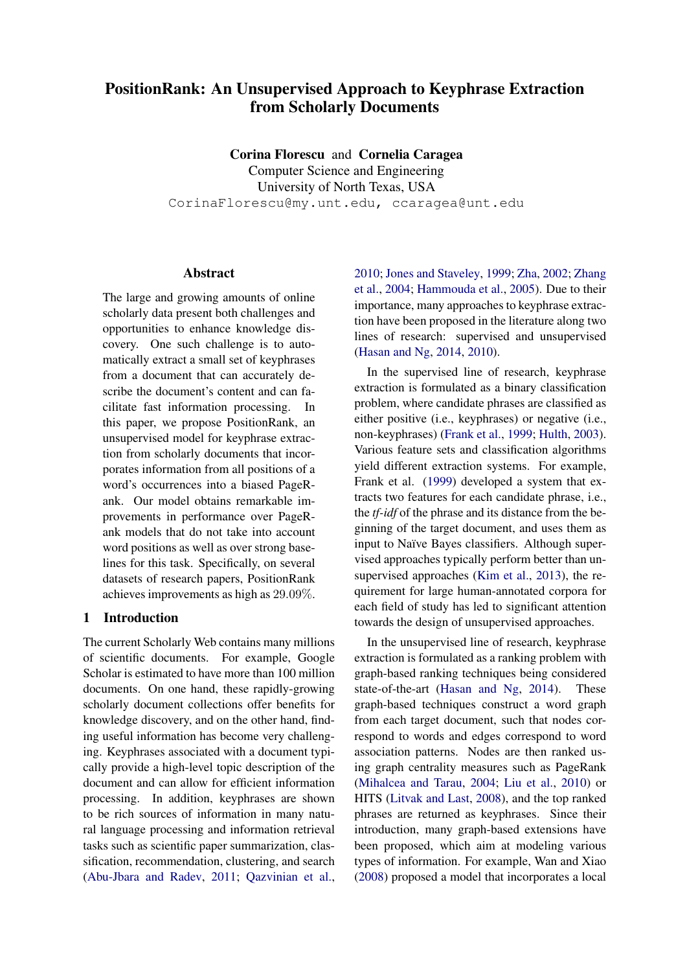# PositionRank: An Unsupervised Approach to Keyphrase Extraction from Scholarly Documents

Corina Florescu and Cornelia Caragea Computer Science and Engineering University of North Texas, USA CorinaFlorescu@my.unt.edu, ccaragea@unt.edu

# **Abstract**

The large and growing amounts of online scholarly data present both challenges and opportunities to enhance knowledge discovery. One such challenge is to automatically extract a small set of keyphrases from a document that can accurately describe the document's content and can facilitate fast information processing. In this paper, we propose PositionRank, an unsupervised model for keyphrase extraction from scholarly documents that incorporates information from all positions of a word's occurrences into a biased PageRank. Our model obtains remarkable improvements in performance over PageRank models that do not take into account word positions as well as over strong baselines for this task. Specifically, on several datasets of research papers, PositionRank achieves improvements as high as 29.09%.

# 1 Introduction

The current Scholarly Web contains many millions of scientific documents. For example, Google Scholar is estimated to have more than 100 million documents. On one hand, these rapidly-growing scholarly document collections offer benefits for knowledge discovery, and on the other hand, finding useful information has become very challenging. Keyphrases associated with a document typically provide a high-level topic description of the document and can allow for efficient information processing. In addition, keyphrases are shown to be rich sources of information in many natural language processing and information retrieval tasks such as scientific paper summarization, classification, recommendation, clustering, and search [\(Abu-Jbara and Radev,](#page-8-0) [2011;](#page-8-0) [Qazvinian et al.,](#page-10-0) [2010;](#page-10-0) [Jones and Staveley,](#page-9-0) [1999;](#page-9-0) [Zha,](#page-10-1) [2002;](#page-10-1) [Zhang](#page-10-2) [et al.,](#page-10-2) [2004;](#page-10-2) [Hammouda et al.,](#page-9-1) [2005\)](#page-9-1). Due to their importance, many approaches to keyphrase extraction have been proposed in the literature along two lines of research: supervised and unsupervised [\(Hasan and Ng,](#page-9-2) [2014,](#page-9-2) [2010\)](#page-9-3).

In the supervised line of research, keyphrase extraction is formulated as a binary classification problem, where candidate phrases are classified as either positive (i.e., keyphrases) or negative (i.e., non-keyphrases) [\(Frank et al.,](#page-9-4) [1999;](#page-9-4) [Hulth,](#page-9-5) [2003\)](#page-9-5). Various feature sets and classification algorithms yield different extraction systems. For example, Frank et al. [\(1999\)](#page-9-4) developed a system that extracts two features for each candidate phrase, i.e., the *tf-idf* of the phrase and its distance from the beginning of the target document, and uses them as input to Naïve Bayes classifiers. Although supervised approaches typically perform better than unsupervised approaches [\(Kim et al.,](#page-9-6) [2013\)](#page-9-6), the requirement for large human-annotated corpora for each field of study has led to significant attention towards the design of unsupervised approaches.

In the unsupervised line of research, keyphrase extraction is formulated as a ranking problem with graph-based ranking techniques being considered state-of-the-art [\(Hasan and Ng,](#page-9-2) [2014\)](#page-9-2). These graph-based techniques construct a word graph from each target document, such that nodes correspond to words and edges correspond to word association patterns. Nodes are then ranked using graph centrality measures such as PageRank [\(Mihalcea and Tarau,](#page-10-3) [2004;](#page-10-3) [Liu et al.,](#page-10-4) [2010\)](#page-10-4) or HITS [\(Litvak and Last,](#page-9-7) [2008\)](#page-9-7), and the top ranked phrases are returned as keyphrases. Since their introduction, many graph-based extensions have been proposed, which aim at modeling various types of information. For example, Wan and Xiao [\(2008\)](#page-10-5) proposed a model that incorporates a local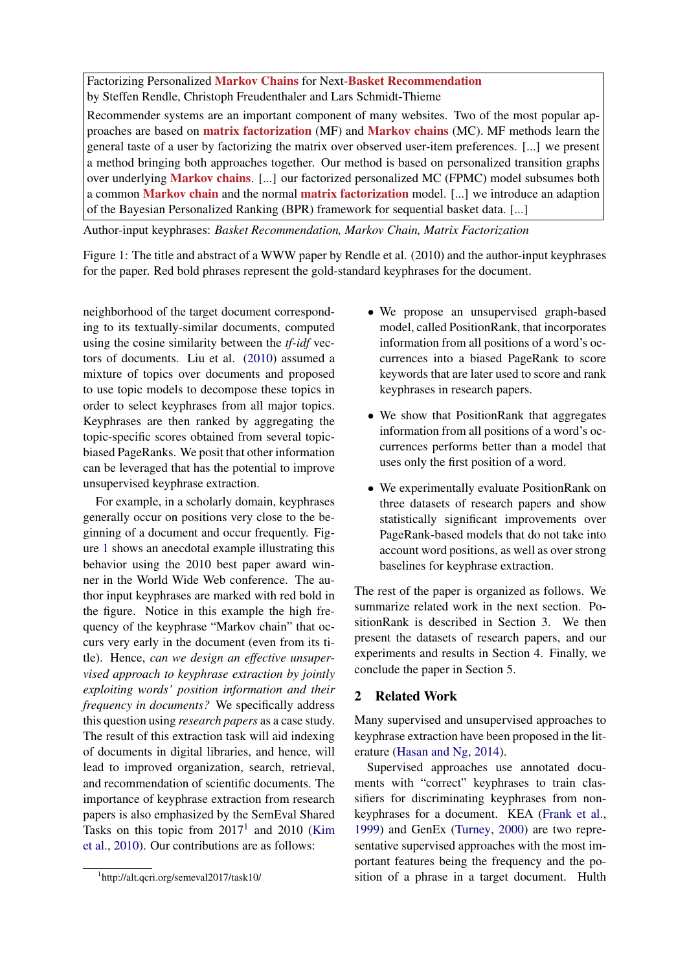<span id="page-1-0"></span>Factorizing Personalized Markov Chains for Next-Basket Recommendation by Steffen Rendle, Christoph Freudenthaler and Lars Schmidt-Thieme

Recommender systems are an important component of many websites. Two of the most popular approaches are based on matrix factorization (MF) and Markov chains (MC). MF methods learn the general taste of a user by factorizing the matrix over observed user-item preferences. [...] we present a method bringing both approaches together. Our method is based on personalized transition graphs over underlying Markov chains. [...] our factorized personalized MC (FPMC) model subsumes both a common Markov chain and the normal matrix factorization model. [...] we introduce an adaption of the Bayesian Personalized Ranking (BPR) framework for sequential basket data. [...]

Author-input keyphrases: *Basket Recommendation, Markov Chain, Matrix Factorization*

Figure 1: The title and abstract of a WWW paper by Rendle et al. (2010) and the author-input keyphrases for the paper. Red bold phrases represent the gold-standard keyphrases for the document.

neighborhood of the target document corresponding to its textually-similar documents, computed using the cosine similarity between the *tf-idf* vectors of documents. Liu et al. [\(2010\)](#page-10-4) assumed a mixture of topics over documents and proposed to use topic models to decompose these topics in order to select keyphrases from all major topics. Keyphrases are then ranked by aggregating the topic-specific scores obtained from several topicbiased PageRanks. We posit that other information can be leveraged that has the potential to improve unsupervised keyphrase extraction.

For example, in a scholarly domain, keyphrases generally occur on positions very close to the beginning of a document and occur frequently. Figure [1](#page-1-0) shows an anecdotal example illustrating this behavior using the 2010 best paper award winner in the World Wide Web conference. The author input keyphrases are marked with red bold in the figure. Notice in this example the high frequency of the keyphrase "Markov chain" that occurs very early in the document (even from its title). Hence, *can we design an effective unsupervised approach to keyphrase extraction by jointly exploiting words' position information and their frequency in documents?* We specifically address this question using *research papers* as a case study. The result of this extraction task will aid indexing of documents in digital libraries, and hence, will lead to improved organization, search, retrieval, and recommendation of scientific documents. The importance of keyphrase extraction from research papers is also emphasized by the SemEval Shared Tasks on this topic from  $2017<sup>1</sup>$  $2017<sup>1</sup>$  $2017<sup>1</sup>$  and  $2010$  [\(Kim](#page-9-8) [et al.,](#page-9-8) [2010\)](#page-9-8). Our contributions are as follows:

- We propose an unsupervised graph-based model, called PositionRank, that incorporates information from all positions of a word's occurrences into a biased PageRank to score keywords that are later used to score and rank keyphrases in research papers.
- We show that PositionRank that aggregates information from all positions of a word's occurrences performs better than a model that uses only the first position of a word.
- We experimentally evaluate PositionRank on three datasets of research papers and show statistically significant improvements over PageRank-based models that do not take into account word positions, as well as over strong baselines for keyphrase extraction.

The rest of the paper is organized as follows. We summarize related work in the next section. PositionRank is described in Section 3. We then present the datasets of research papers, and our experiments and results in Section 4. Finally, we conclude the paper in Section 5.

## 2 Related Work

Many supervised and unsupervised approaches to keyphrase extraction have been proposed in the literature [\(Hasan and Ng,](#page-9-2) [2014\)](#page-9-2).

Supervised approaches use annotated documents with "correct" keyphrases to train classifiers for discriminating keyphrases from nonkeyphrases for a document. KEA [\(Frank et al.,](#page-9-4) [1999\)](#page-9-4) and GenEx [\(Turney,](#page-10-6) [2000\)](#page-10-6) are two representative supervised approaches with the most important features being the frequency and the position of a phrase in a target document. Hulth

<span id="page-1-1"></span><sup>1</sup> http://alt.qcri.org/semeval2017/task10/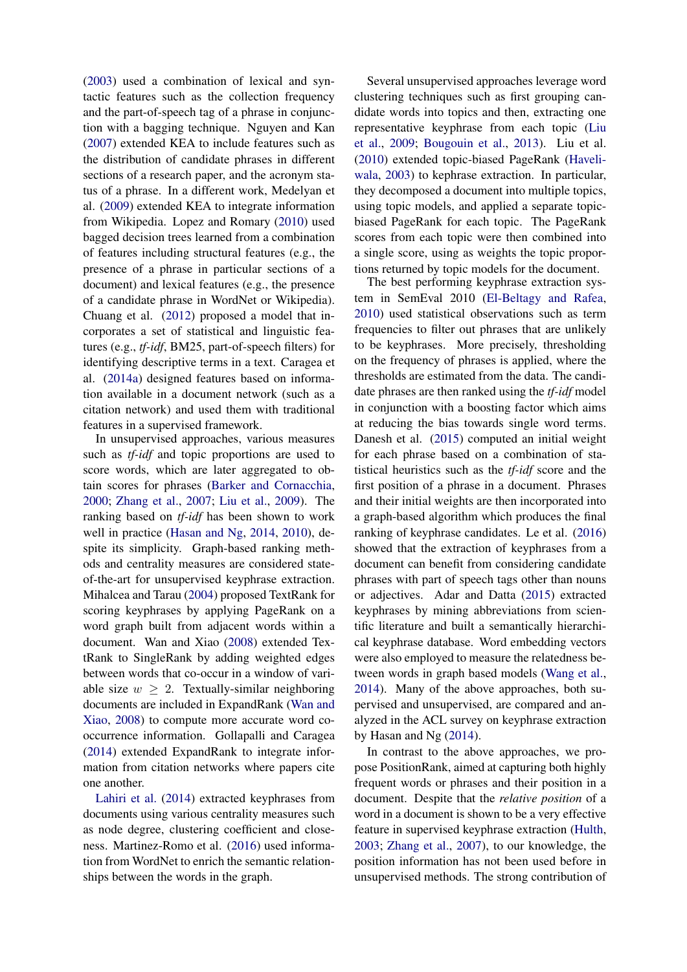[\(2003\)](#page-9-5) used a combination of lexical and syntactic features such as the collection frequency and the part-of-speech tag of a phrase in conjunction with a bagging technique. Nguyen and Kan [\(2007\)](#page-10-7) extended KEA to include features such as the distribution of candidate phrases in different sections of a research paper, and the acronym status of a phrase. In a different work, Medelyan et al. [\(2009\)](#page-10-8) extended KEA to integrate information from Wikipedia. Lopez and Romary [\(2010\)](#page-10-9) used bagged decision trees learned from a combination of features including structural features (e.g., the presence of a phrase in particular sections of a document) and lexical features (e.g., the presence of a candidate phrase in WordNet or Wikipedia). Chuang et al. [\(2012\)](#page-9-9) proposed a model that incorporates a set of statistical and linguistic features (e.g., *tf-idf*, BM25, part-of-speech filters) for identifying descriptive terms in a text. Caragea et al. [\(2014a\)](#page-9-10) designed features based on information available in a document network (such as a citation network) and used them with traditional features in a supervised framework.

In unsupervised approaches, various measures such as *tf-idf* and topic proportions are used to score words, which are later aggregated to obtain scores for phrases [\(Barker and Cornacchia,](#page-9-11) [2000;](#page-9-11) [Zhang et al.,](#page-10-10) [2007;](#page-10-10) [Liu et al.,](#page-10-11) [2009\)](#page-10-11). The ranking based on *tf-idf* has been shown to work well in practice [\(Hasan and Ng,](#page-9-2) [2014,](#page-9-2) [2010\)](#page-9-3), despite its simplicity. Graph-based ranking methods and centrality measures are considered stateof-the-art for unsupervised keyphrase extraction. Mihalcea and Tarau [\(2004\)](#page-10-3) proposed TextRank for scoring keyphrases by applying PageRank on a word graph built from adjacent words within a document. Wan and Xiao [\(2008\)](#page-10-5) extended TextRank to SingleRank by adding weighted edges between words that co-occur in a window of variable size  $w > 2$ . Textually-similar neighboring documents are included in ExpandRank [\(Wan and](#page-10-5) [Xiao,](#page-10-5) [2008\)](#page-10-5) to compute more accurate word cooccurrence information. Gollapalli and Caragea [\(2014\)](#page-9-12) extended ExpandRank to integrate information from citation networks where papers cite one another.

[Lahiri et al.](#page-9-13) [\(2014\)](#page-9-13) extracted keyphrases from documents using various centrality measures such as node degree, clustering coefficient and closeness. Martinez-Romo et al. [\(2016\)](#page-10-12) used information from WordNet to enrich the semantic relationships between the words in the graph.

Several unsupervised approaches leverage word clustering techniques such as first grouping candidate words into topics and then, extracting one representative keyphrase from each topic [\(Liu](#page-10-11) [et al.,](#page-10-11) [2009;](#page-10-11) [Bougouin et al.,](#page-9-14) [2013\)](#page-9-14). Liu et al. [\(2010\)](#page-10-4) extended topic-biased PageRank [\(Haveli](#page-9-15)[wala,](#page-9-15) [2003\)](#page-9-15) to kephrase extraction. In particular, they decomposed a document into multiple topics, using topic models, and applied a separate topicbiased PageRank for each topic. The PageRank scores from each topic were then combined into a single score, using as weights the topic proportions returned by topic models for the document.

The best performing keyphrase extraction system in SemEval 2010 [\(El-Beltagy and Rafea,](#page-9-16) [2010\)](#page-9-16) used statistical observations such as term frequencies to filter out phrases that are unlikely to be keyphrases. More precisely, thresholding on the frequency of phrases is applied, where the thresholds are estimated from the data. The candidate phrases are then ranked using the *tf-idf* model in conjunction with a boosting factor which aims at reducing the bias towards single word terms. Danesh et al. [\(2015\)](#page-9-17) computed an initial weight for each phrase based on a combination of statistical heuristics such as the *tf-idf* score and the first position of a phrase in a document. Phrases and their initial weights are then incorporated into a graph-based algorithm which produces the final ranking of keyphrase candidates. Le et al. [\(2016\)](#page-9-18) showed that the extraction of keyphrases from a document can benefit from considering candidate phrases with part of speech tags other than nouns or adjectives. Adar and Datta [\(2015\)](#page-9-19) extracted keyphrases by mining abbreviations from scientific literature and built a semantically hierarchical keyphrase database. Word embedding vectors were also employed to measure the relatedness between words in graph based models [\(Wang et al.,](#page-10-13) [2014\)](#page-10-13). Many of the above approaches, both supervised and unsupervised, are compared and analyzed in the ACL survey on keyphrase extraction by Hasan and Ng [\(2014\)](#page-9-2).

In contrast to the above approaches, we propose PositionRank, aimed at capturing both highly frequent words or phrases and their position in a document. Despite that the *relative position* of a word in a document is shown to be a very effective feature in supervised keyphrase extraction [\(Hulth,](#page-9-5) [2003;](#page-9-5) [Zhang et al.,](#page-10-10) [2007\)](#page-10-10), to our knowledge, the position information has not been used before in unsupervised methods. The strong contribution of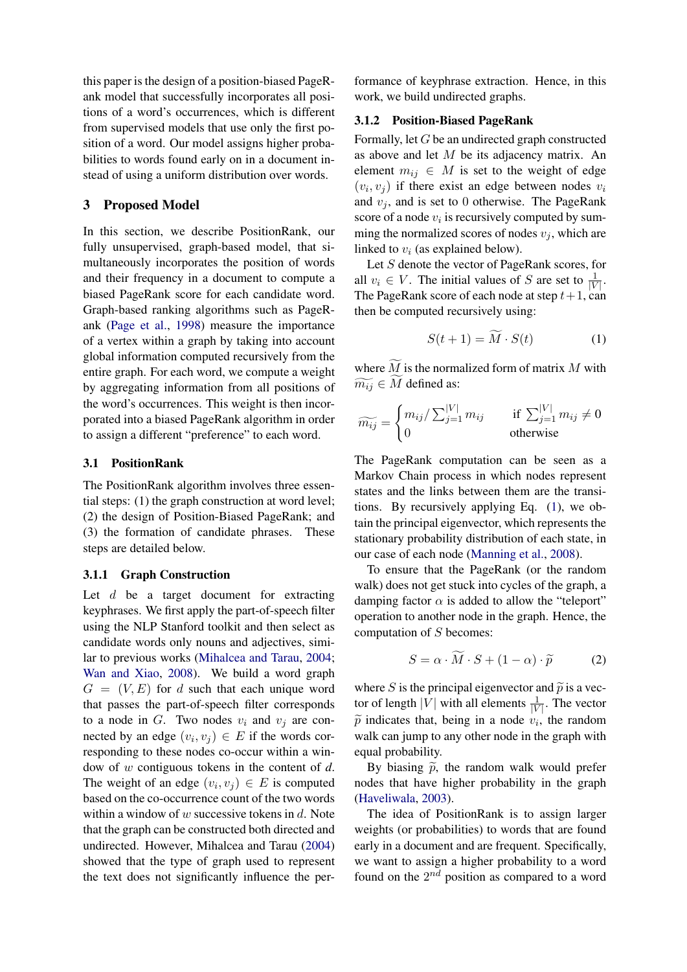this paper is the design of a position-biased PageRank model that successfully incorporates all positions of a word's occurrences, which is different from supervised models that use only the first position of a word. Our model assigns higher probabilities to words found early on in a document instead of using a uniform distribution over words.

## 3 Proposed Model

In this section, we describe PositionRank, our fully unsupervised, graph-based model, that simultaneously incorporates the position of words and their frequency in a document to compute a biased PageRank score for each candidate word. Graph-based ranking algorithms such as PageRank [\(Page et al.,](#page-10-14) [1998\)](#page-10-14) measure the importance of a vertex within a graph by taking into account global information computed recursively from the entire graph. For each word, we compute a weight by aggregating information from all positions of the word's occurrences. This weight is then incorporated into a biased PageRank algorithm in order to assign a different "preference" to each word.

#### 3.1 PositionRank

The PositionRank algorithm involves three essential steps: (1) the graph construction at word level; (2) the design of Position-Biased PageRank; and (3) the formation of candidate phrases. These steps are detailed below.

#### 3.1.1 Graph Construction

Let  $d$  be a target document for extracting keyphrases. We first apply the part-of-speech filter using the NLP Stanford toolkit and then select as candidate words only nouns and adjectives, similar to previous works [\(Mihalcea and Tarau,](#page-10-3) [2004;](#page-10-3) [Wan and Xiao,](#page-10-5) [2008\)](#page-10-5). We build a word graph  $G = (V, E)$  for d such that each unique word that passes the part-of-speech filter corresponds to a node in G. Two nodes  $v_i$  and  $v_j$  are connected by an edge  $(v_i, v_j) \in E$  if the words corresponding to these nodes co-occur within a window of w contiguous tokens in the content of *d*. The weight of an edge  $(v_i, v_j) \in E$  is computed based on the co-occurrence count of the two words within a window of  $w$  successive tokens in  $d$ . Note that the graph can be constructed both directed and undirected. However, Mihalcea and Tarau [\(2004\)](#page-10-3) showed that the type of graph used to represent the text does not significantly influence the performance of keyphrase extraction. Hence, in this work, we build undirected graphs.

## 3.1.2 Position-Biased PageRank

Formally, let G be an undirected graph constructed as above and let M be its adjacency matrix. An element  $m_{ij} \in M$  is set to the weight of edge  $(v_i, v_j)$  if there exist an edge between nodes  $v_i$ and  $v_j$ , and is set to 0 otherwise. The PageRank score of a node  $v_i$  is recursively computed by summing the normalized scores of nodes  $v_j$ , which are linked to  $v_i$  (as explained below).

Let S denote the vector of PageRank scores, for all  $v_i \in V$ . The initial values of S are set to  $\frac{1}{|V|}$ . The PageRank score of each node at step  $t+1$ , can then be computed recursively using:

<span id="page-3-0"></span>
$$
S(t+1) = \widetilde{M} \cdot S(t) \tag{1}
$$

where  $\widetilde{M}$  is the normalized form of matrix M with  $\widetilde{m_{ij}} \in M$  defined as:

$$
\widetilde{m_{ij}} = \begin{cases} m_{ij} / \sum_{j=1}^{|V|} m_{ij} & \text{if } \sum_{j=1}^{|V|} m_{ij} \neq 0\\ 0 & \text{otherwise} \end{cases}
$$

The PageRank computation can be seen as a Markov Chain process in which nodes represent states and the links between them are the transitions. By recursively applying Eq. [\(1\)](#page-3-0), we obtain the principal eigenvector, which represents the stationary probability distribution of each state, in our case of each node [\(Manning et al.,](#page-10-15) [2008\)](#page-10-15).

To ensure that the PageRank (or the random walk) does not get stuck into cycles of the graph, a damping factor  $\alpha$  is added to allow the "teleport" operation to another node in the graph. Hence, the computation of S becomes:

<span id="page-3-1"></span>
$$
S = \alpha \cdot \widetilde{M} \cdot S + (1 - \alpha) \cdot \widetilde{p}
$$
 (2)

where S is the principal eigenvector and  $\tilde{p}$  is a vector of length |V| with all elements  $\frac{1}{|V|}$ . The vector  $\widetilde{p}$  indicates that, being in a node  $v_i$ , the random<br>wells can jump to any other node in the graph with walk can jump to any other node in the graph with equal probability.

By biasing  $\tilde{p}$ , the random walk would prefer nodes that have higher probability in the graph [\(Haveliwala,](#page-9-15) [2003\)](#page-9-15).

The idea of PositionRank is to assign larger weights (or probabilities) to words that are found early in a document and are frequent. Specifically, we want to assign a higher probability to a word found on the  $2^{nd}$  position as compared to a word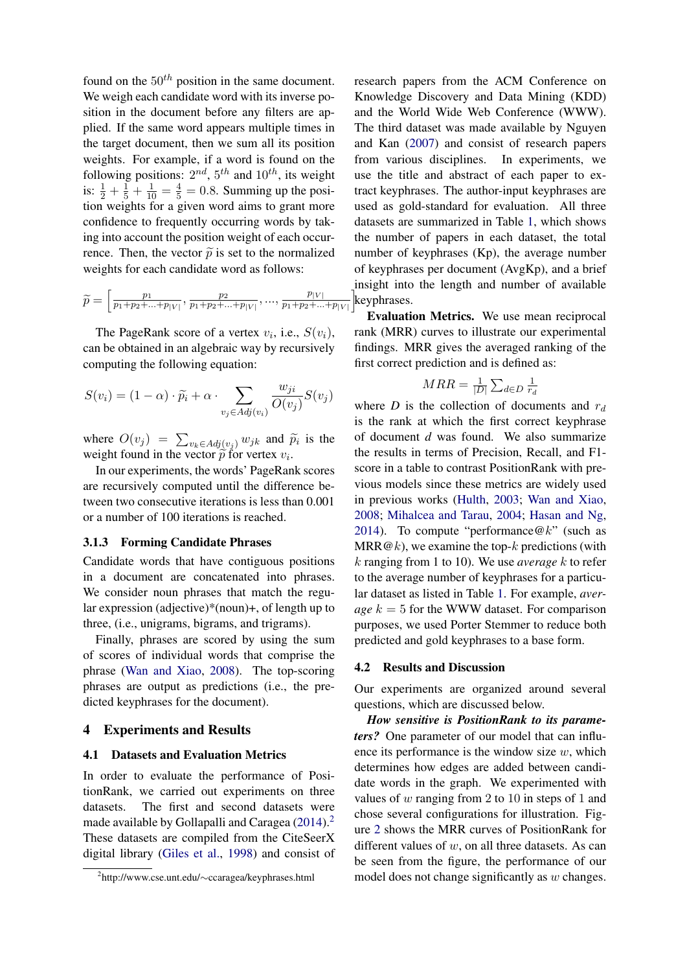found on the  $50<sup>th</sup>$  position in the same document. We weigh each candidate word with its inverse position in the document before any filters are applied. If the same word appears multiple times in the target document, then we sum all its position weights. For example, if a word is found on the following positions:  $2^{nd}$ ,  $5^{th}$  and  $10^{th}$ , its weight is:  $\frac{1}{2} + \frac{1}{5} + \frac{1}{10} = \frac{4}{5} = 0.8$ . Summing up the position weights for a given word aims to grant more confidence to frequently occurring words by taking into account the position weight of each occurrence. Then, the vector  $\tilde{p}$  is set to the normalized weights for each candidate word as follows:

$$
\widetilde{p} = \left[\frac{p_1}{p_1 + p_2 + \dots + p_{|V|}}, \frac{p_2}{p_1 + p_2 + \dots + p_{|V|}}, \dots, \frac{p_{|V|}}{p_1 + p_2 + \dots + p_{|V|}}\right]
$$

The PageRank score of a vertex  $v_i$ , i.e.,  $S(v_i)$ , can be obtained in an algebraic way by recursively computing the following equation:

$$
S(v_i) = (1 - \alpha) \cdot \widetilde{p_i} + \alpha \cdot \sum_{v_j \in Adj(v_i)} \frac{w_{ji}}{O(v_j)} S(v_j)
$$

where  $O(v_j) = \sum_{v_k \in Adj(v_j)} w_{jk}$  and  $\widetilde{p}_i$  is the words to provide the vector  $\widetilde{\mathfrak{g}}$  for vertex  $v_i$ . weight found in the vector  $\tilde{p}$  for vertex  $v_i$ .<br>In our avacciments, the words' BaseBan

In our experiments, the words' PageRank scores are recursively computed until the difference between two consecutive iterations is less than 0.001 or a number of 100 iterations is reached.

#### 3.1.3 Forming Candidate Phrases

Candidate words that have contiguous positions in a document are concatenated into phrases. We consider noun phrases that match the regular expression (adjective)\*(noun)+, of length up to three, (i.e., unigrams, bigrams, and trigrams).

Finally, phrases are scored by using the sum of scores of individual words that comprise the phrase [\(Wan and Xiao,](#page-10-5) [2008\)](#page-10-5). The top-scoring phrases are output as predictions (i.e., the predicted keyphrases for the document).

#### 4 Experiments and Results

### 4.1 Datasets and Evaluation Metrics

In order to evaluate the performance of PositionRank, we carried out experiments on three datasets. The first and second datasets were made available by Gollapalli and Caragea  $(2014).<sup>2</sup>$  $(2014).<sup>2</sup>$  $(2014).<sup>2</sup>$  $(2014).<sup>2</sup>$ These datasets are compiled from the CiteSeerX digital library [\(Giles et al.,](#page-9-20) [1998\)](#page-9-20) and consist of keyphrases. research papers from the ACM Conference on Knowledge Discovery and Data Mining (KDD) and the World Wide Web Conference (WWW). The third dataset was made available by Nguyen and Kan [\(2007\)](#page-10-7) and consist of research papers from various disciplines. In experiments, we use the title and abstract of each paper to extract keyphrases. The author-input keyphrases are used as gold-standard for evaluation. All three datasets are summarized in Table [1,](#page-5-0) which shows the number of papers in each dataset, the total number of keyphrases (Kp), the average number of keyphrases per document (AvgKp), and a brief insight into the length and number of available

Evaluation Metrics. We use mean reciprocal rank (MRR) curves to illustrate our experimental findings. MRR gives the averaged ranking of the first correct prediction and is defined as:

$$
MRR = \frac{1}{|D|} \sum_{d \in D} \frac{1}{r_d}
$$

where *D* is the collection of documents and  $r_d$ is the rank at which the first correct keyphrase of document *d* was found. We also summarize the results in terms of Precision, Recall, and F1 score in a table to contrast PositionRank with previous models since these metrics are widely used in previous works [\(Hulth,](#page-9-5) [2003;](#page-9-5) [Wan and Xiao,](#page-10-5) [2008;](#page-10-5) [Mihalcea and Tarau,](#page-10-3) [2004;](#page-10-3) [Hasan and Ng,](#page-9-2) [2014\)](#page-9-2). To compute "performance  $@k"$  (such as MRR $@k$ ), we examine the top- $k$  predictions (with k ranging from 1 to 10). We use *average* k to refer to the average number of keyphrases for a particular dataset as listed in Table [1.](#page-5-0) For example, *average*  $k = 5$  for the WWW dataset. For comparison purposes, we used Porter Stemmer to reduce both predicted and gold keyphrases to a base form.

### 4.2 Results and Discussion

Our experiments are organized around several questions, which are discussed below.

*How sensitive is PositionRank to its parameters?* One parameter of our model that can influence its performance is the window size  $w$ , which determines how edges are added between candidate words in the graph. We experimented with values of  $w$  ranging from 2 to 10 in steps of 1 and chose several configurations for illustration. Figure [2](#page-5-1) shows the MRR curves of PositionRank for different values of  $w$ , on all three datasets. As can be seen from the figure, the performance of our model does not change significantly as  $w$  changes.

<span id="page-4-0"></span><sup>2</sup> http://www.cse.unt.edu/∼ccaragea/keyphrases.html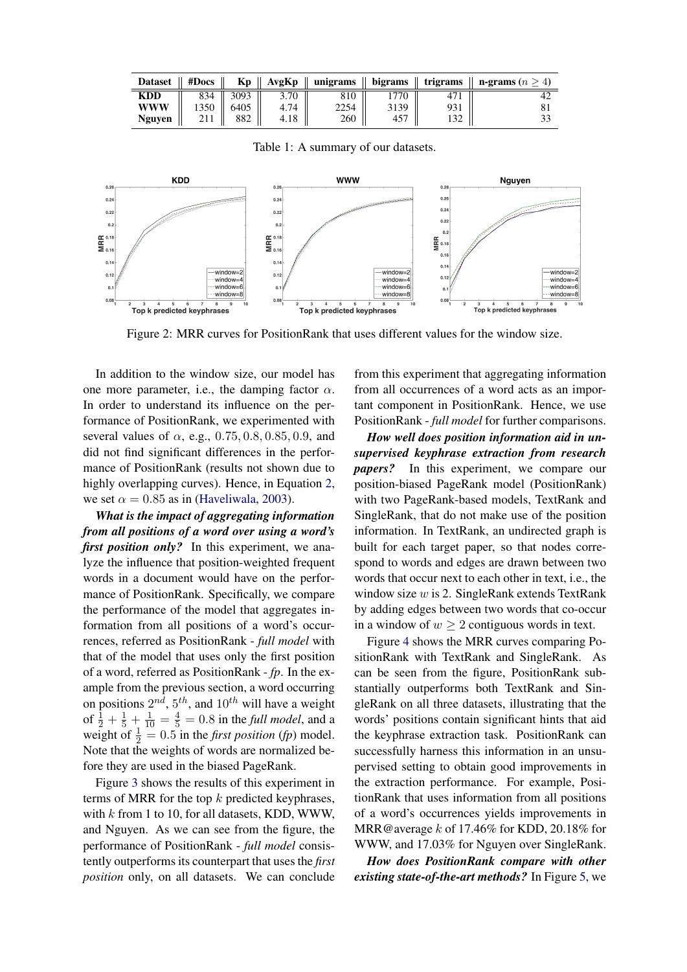<span id="page-5-0"></span>

|            |      |                               |      |      |      |     | Dataset    #Docs    Kp    AvgKp    unigrams    bigrams    trigrams    n-grams $(n \ge 4)$ |
|------------|------|-------------------------------|------|------|------|-----|-------------------------------------------------------------------------------------------|
| <b>KDD</b> |      | 834    3093                   | 3.70 | 810  | 770  |     |                                                                                           |
| <b>WWW</b> | 1350 | 6405                          | 4.74 | 2254 | 3139 | 931 |                                                                                           |
| Nguyen     |      | $211 \parallel 882 \parallel$ | 4.18 | 260  | 457  |     |                                                                                           |

Table 1: A summary of our datasets.

<span id="page-5-1"></span>

Figure 2: MRR curves for PositionRank that uses different values for the window size.

In addition to the window size, our model has one more parameter, i.e., the damping factor  $\alpha$ . In order to understand its influence on the performance of PositionRank, we experimented with several values of  $\alpha$ , e.g., 0.75, 0.8, 0.85, 0.9, and did not find significant differences in the performance of PositionRank (results not shown due to highly overlapping curves). Hence, in Equation [2,](#page-3-1) we set  $\alpha = 0.85$  as in [\(Haveliwala,](#page-9-15) [2003\)](#page-9-15).

*What is the impact of aggregating information from all positions of a word over using a word's first position only?* In this experiment, we analyze the influence that position-weighted frequent words in a document would have on the performance of PositionRank. Specifically, we compare the performance of the model that aggregates information from all positions of a word's occurrences, referred as PositionRank - *full model* with that of the model that uses only the first position of a word, referred as PositionRank - *fp*. In the example from the previous section, a word occurring on positions  $2^{nd}$ ,  $5^{th}$ , and  $10^{th}$  will have a weight of  $\frac{1}{2} + \frac{1}{5} + \frac{1}{10} = \frac{4}{5} = 0.8$  in the *full model*, and a weight of  $\frac{1}{2} = 0.5$  in the *first position* (*fp*) model. Note that the weights of words are normalized before they are used in the biased PageRank.

Figure [3](#page-6-0) shows the results of this experiment in terms of MRR for the top  $k$  predicted keyphrases, with  $k$  from 1 to 10, for all datasets, KDD, WWW, and Nguyen. As we can see from the figure, the performance of PositionRank - *full model* consistently outperforms its counterpart that uses the *first position* only, on all datasets. We can conclude from this experiment that aggregating information from all occurrences of a word acts as an important component in PositionRank. Hence, we use PositionRank - *full model* for further comparisons.

*How well does position information aid in unsupervised keyphrase extraction from research papers?* In this experiment, we compare our position-biased PageRank model (PositionRank) with two PageRank-based models, TextRank and SingleRank, that do not make use of the position information. In TextRank, an undirected graph is built for each target paper, so that nodes correspond to words and edges are drawn between two words that occur next to each other in text, i.e., the window size  $w$  is 2. SingleRank extends TextRank by adding edges between two words that co-occur in a window of  $w \geq 2$  contiguous words in text.

Figure [4](#page-6-1) shows the MRR curves comparing PositionRank with TextRank and SingleRank. As can be seen from the figure, PositionRank substantially outperforms both TextRank and SingleRank on all three datasets, illustrating that the words' positions contain significant hints that aid the keyphrase extraction task. PositionRank can successfully harness this information in an unsupervised setting to obtain good improvements in the extraction performance. For example, PositionRank that uses information from all positions of a word's occurrences yields improvements in MRR@average k of 17.46% for KDD, 20.18% for WWW, and 17.03% for Nguyen over SingleRank.

*How does PositionRank compare with other existing state-of-the-art methods?* In Figure [5,](#page-7-0) we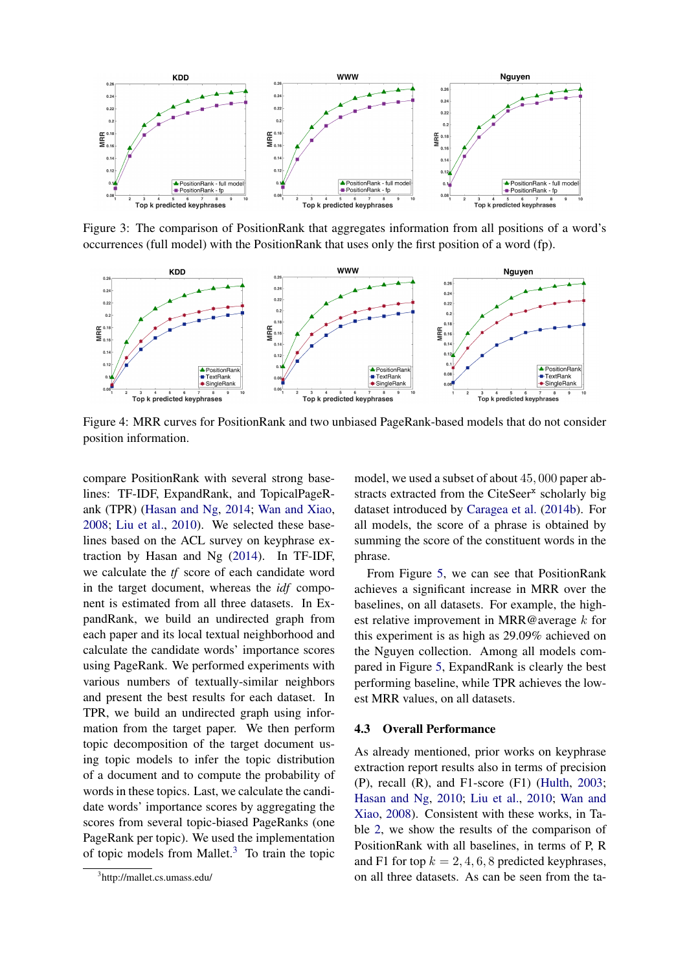<span id="page-6-0"></span>

Figure 3: The comparison of PositionRank that aggregates information from all positions of a word's occurrences (full model) with the PositionRank that uses only the first position of a word (fp).

<span id="page-6-1"></span>

Figure 4: MRR curves for PositionRank and two unbiased PageRank-based models that do not consider position information.

compare PositionRank with several strong baselines: TF-IDF, ExpandRank, and TopicalPageRank (TPR) [\(Hasan and Ng,](#page-9-2) [2014;](#page-9-2) [Wan and Xiao,](#page-10-5) [2008;](#page-10-5) [Liu et al.,](#page-10-4) [2010\)](#page-10-4). We selected these baselines based on the ACL survey on keyphrase extraction by Hasan and Ng [\(2014\)](#page-9-2). In TF-IDF, we calculate the *tf* score of each candidate word in the target document, whereas the *idf* component is estimated from all three datasets. In ExpandRank, we build an undirected graph from each paper and its local textual neighborhood and calculate the candidate words' importance scores using PageRank. We performed experiments with various numbers of textually-similar neighbors and present the best results for each dataset. In TPR, we build an undirected graph using information from the target paper. We then perform topic decomposition of the target document using topic models to infer the topic distribution of a document and to compute the probability of words in these topics. Last, we calculate the candidate words' importance scores by aggregating the scores from several topic-biased PageRanks (one PageRank per topic). We used the implementation of topic models from Mallet. $3$  To train the topic

model, we used a subset of about 45, 000 paper abstracts extracted from the CiteSeer<sup>x</sup> scholarly big dataset introduced by [Caragea et al.](#page-9-21) [\(2014b\)](#page-9-21). For all models, the score of a phrase is obtained by summing the score of the constituent words in the phrase.

From Figure [5,](#page-7-0) we can see that PositionRank achieves a significant increase in MRR over the baselines, on all datasets. For example, the highest relative improvement in MRR@average k for this experiment is as high as 29.09% achieved on the Nguyen collection. Among all models compared in Figure [5,](#page-7-0) ExpandRank is clearly the best performing baseline, while TPR achieves the lowest MRR values, on all datasets.

#### 4.3 Overall Performance

As already mentioned, prior works on keyphrase extraction report results also in terms of precision (P), recall (R), and F1-score (F1) [\(Hulth,](#page-9-5) [2003;](#page-9-5) [Hasan and Ng,](#page-9-3) [2010;](#page-9-3) [Liu et al.,](#page-10-4) [2010;](#page-10-4) [Wan and](#page-10-5) [Xiao,](#page-10-5) [2008\)](#page-10-5). Consistent with these works, in Table [2,](#page-7-1) we show the results of the comparison of PositionRank with all baselines, in terms of P, R and F1 for top  $k = 2, 4, 6, 8$  predicted keyphrases, on all three datasets. As can be seen from the ta-

<span id="page-6-2"></span><sup>3</sup> http://mallet.cs.umass.edu/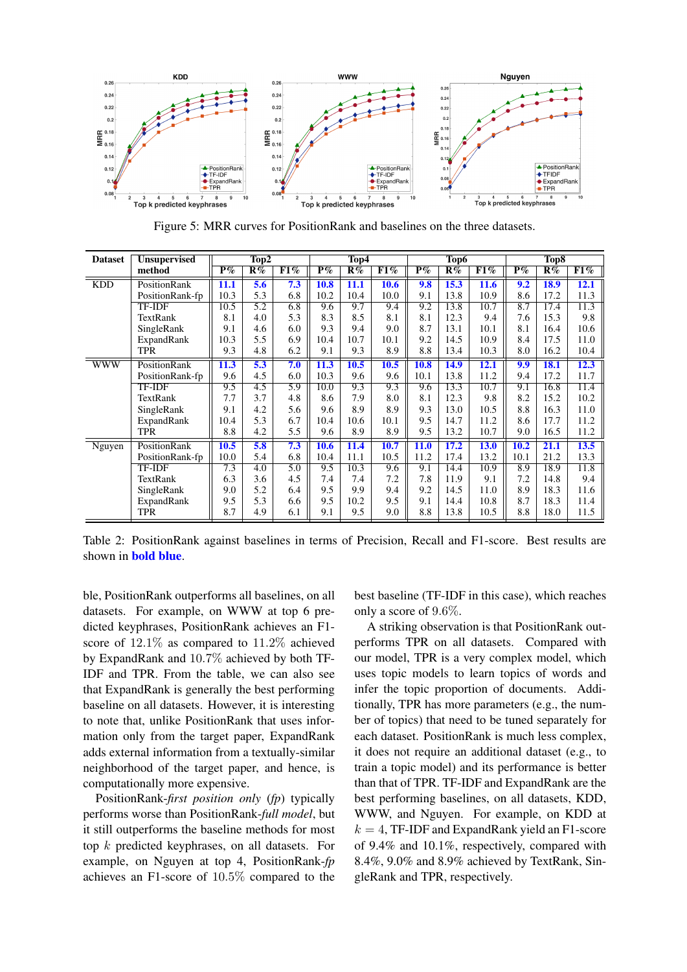<span id="page-7-0"></span>

Figure 5: MRR curves for PositionRank and baselines on the three datasets.

<span id="page-7-1"></span>

| <b>Dataset</b> | <b>Unsupervised</b> | Top2        |                  |                  | Top4        |      |      | Top6                      |      |      | Top <sub>8</sub> |             |      |
|----------------|---------------------|-------------|------------------|------------------|-------------|------|------|---------------------------|------|------|------------------|-------------|------|
|                | method              | $P\%$       | R%               | F1%              | $P\%$       | R%   | F1%  | $\overline{\mathbf{P}\%}$ | R%   | F1%  | $P\%$            | R%          | F1%  |
| <b>KDD</b>     | PositionRank        | 11.1        | 5.6              | 7.3              | <b>10.8</b> | 11.1 | 10.6 | 9.8                       | 15.3 | 11.6 | 9.2              | <b>18.9</b> | 12.1 |
|                | PositionRank-fp     | 10.3        | 5.3              | 6.8              | 10.2        | 10.4 | 10.0 | 9.1                       | 13.8 | 10.9 | 8.6              | 17.2        | 11.3 |
|                | <b>TF-IDF</b>       | 10.5        | 5.2              | 6.8              | 9.6         | 9.7  | 9.4  | 9.2                       | 13.8 | 10.7 | 8.7              | 17.4        | 11.3 |
|                | TextRank            | 8.1         | 4.0              | 5.3              | 8.3         | 8.5  | 8.1  | 8.1                       | 12.3 | 9.4  | 7.6              | 15.3        | 9.8  |
|                | SingleRank          | 9.1         | 4.6              | 6.0              | 9.3         | 9.4  | 9.0  | 8.7                       | 13.1 | 10.1 | 8.1              | 16.4        | 10.6 |
|                | ExpandRank          | 10.3        | 5.5              | 6.9              | 10.4        | 10.7 | 10.1 | 9.2                       | 14.5 | 10.9 | 8.4              | 17.5        | 11.0 |
|                | <b>TPR</b>          | 9.3         | 4.8              | 6.2              | 9.1         | 9.3  | 8.9  | 8.8                       | 13.4 | 10.3 | 8.0              | 16.2        | 10.4 |
| <b>WWW</b>     | <b>PositionRank</b> | <b>11.3</b> | $\overline{5.3}$ | 7.0              | 11.3        | 10.5 | 10.5 | <b>10.8</b>               | 14.9 | 12.1 | 9.9              | <b>18.1</b> | 12.3 |
|                | PositionRank-fp     | 9.6         | 4.5              | 6.0              | 10.3        | 9.6  | 9.6  | 10.1                      | 13.8 | 11.2 | 9.4              | 17.2        | 11.7 |
|                | <b>TF-IDF</b>       | 9.5         | 4.5              | $\overline{5.9}$ | 10.0        | 9.3  | 9.3  | 9.6                       | 13.3 | 10.7 | 9.1              | 16.8        | 11.4 |
|                | TextRank            | 7.7         | 3.7              | 4.8              | 8.6         | 7.9  | 8.0  | 8.1                       | 12.3 | 9.8  | 8.2              | 15.2        | 10.2 |
|                | SingleRank          | 9.1         | 4.2              | 5.6              | 9.6         | 8.9  | 8.9  | 9.3                       | 13.0 | 10.5 | 8.8              | 16.3        | 11.0 |
|                | ExpandRank          | 10.4        | 5.3              | 6.7              | 10.4        | 10.6 | 10.1 | 9.5                       | 14.7 | 11.2 | 8.6              | 17.7        | 11.2 |
|                | <b>TPR</b>          | 8.8         | 4.2              | 5.5              | 9.6         | 8.9  | 8.9  | 9.5                       | 13.2 | 10.7 | 9.0              | 16.5        | 11.2 |
| Nguyen         | PositionRank        | 10.5        | 5.8              | 7.3              | 10.6        | 11.4 | 10.7 | <b>11.0</b>               | 17.2 | 13.0 | 10.2             | 21.1        | 13.5 |
|                | PositionRank-fp     | 10.0        | 5.4              | 6.8              | 10.4        | 11.1 | 10.5 | 11.2                      | 17.4 | 13.2 | 10.1             | 21.2        | 13.3 |
|                | <b>TF-IDF</b>       | 7.3         | 4.0              | $\overline{5.0}$ | 9.5         | 10.3 | 9.6  | 9.1                       | 14.4 | 10.9 | 8.9              | 18.9        | 11.8 |
|                | TextRank            | 6.3         | 3.6              | 4.5              | 7.4         | 7.4  | 7.2  | 7.8                       | 11.9 | 9.1  | 7.2              | 14.8        | 9.4  |
|                | SingleRank          | 9.0         | 5.2              | 6.4              | 9.5         | 9.9  | 9.4  | 9.2                       | 14.5 | 11.0 | 8.9              | 18.3        | 11.6 |
|                | ExpandRank          | 9.5         | 5.3              | 6.6              | 9.5         | 10.2 | 9.5  | 9.1                       | 14.4 | 10.8 | 8.7              | 18.3        | 11.4 |
|                | <b>TPR</b>          | 8.7         | 4.9              | 6.1              | 9.1         | 9.5  | 9.0  | 8.8                       | 13.8 | 10.5 | 8.8              | 18.0        | 11.5 |

Table 2: PositionRank against baselines in terms of Precision, Recall and F1-score. Best results are shown in bold blue.

ble, PositionRank outperforms all baselines, on all datasets. For example, on WWW at top 6 predicted keyphrases, PositionRank achieves an F1 score of 12.1% as compared to 11.2% achieved by ExpandRank and 10.7% achieved by both TF-IDF and TPR. From the table, we can also see that ExpandRank is generally the best performing baseline on all datasets. However, it is interesting to note that, unlike PositionRank that uses information only from the target paper, ExpandRank adds external information from a textually-similar neighborhood of the target paper, and hence, is computationally more expensive.

PositionRank-*first position only* (*fp*) typically performs worse than PositionRank-*full model*, but it still outperforms the baseline methods for most top k predicted keyphrases, on all datasets. For example, on Nguyen at top 4, PositionRank-*fp* achieves an F1-score of 10.5% compared to the best baseline (TF-IDF in this case), which reaches only a score of 9.6%.

A striking observation is that PositionRank outperforms TPR on all datasets. Compared with our model, TPR is a very complex model, which uses topic models to learn topics of words and infer the topic proportion of documents. Additionally, TPR has more parameters (e.g., the number of topics) that need to be tuned separately for each dataset. PositionRank is much less complex, it does not require an additional dataset (e.g., to train a topic model) and its performance is better than that of TPR. TF-IDF and ExpandRank are the best performing baselines, on all datasets, KDD, WWW, and Nguyen. For example, on KDD at  $k = 4$ , TF-IDF and ExpandRank yield an F1-score of 9.4% and 10.1%, respectively, compared with 8.4%, 9.0% and 8.9% achieved by TextRank, SingleRank and TPR, respectively.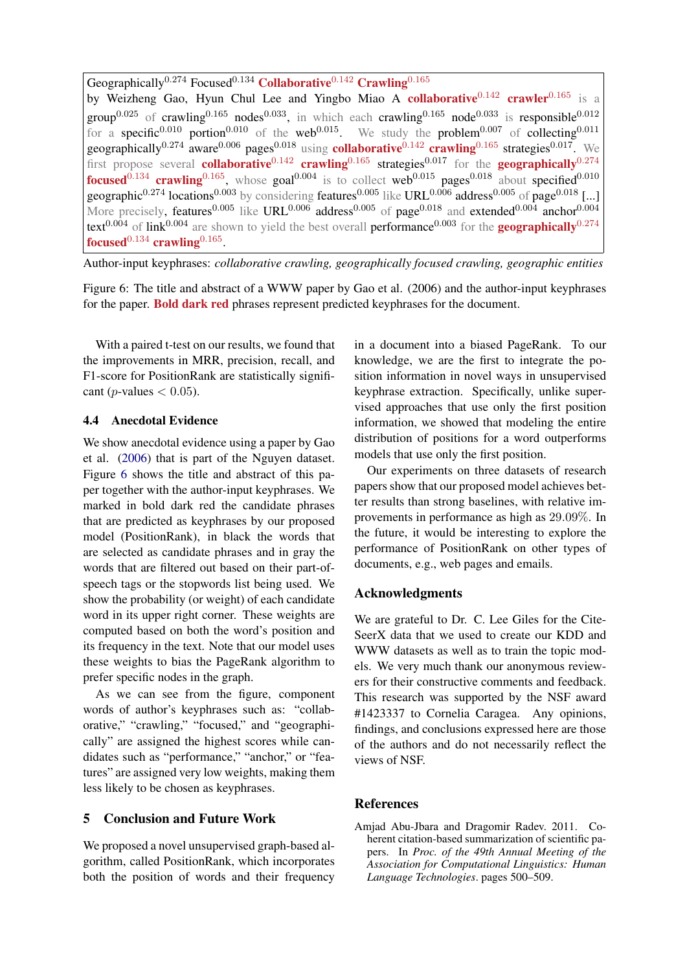<span id="page-8-1"></span>Geographically<sup>0.274</sup> Focused<sup>0.134</sup> Collaborative<sup>0.142</sup> Crawling<sup>0.165</sup> by Weizheng Gao, Hyun Chul Lee and Yingbo Miao A collaborative<sup>0.142</sup> crawler<sup>0.165</sup> is a group<sup>0.025</sup> of crawling<sup>0.165</sup> nodes<sup>0.033</sup>, in which each crawling<sup>0.165</sup> node<sup>0.033</sup> is responsible<sup>0.012</sup> for a specific<sup>0.010</sup> portion<sup>0.010</sup> of the web<sup>0.015</sup>. We study the problem<sup>0.007</sup> of collecting<sup>0.011</sup> geographically<sup>0.274</sup> aware<sup>0.006</sup> pages<sup>0.018</sup> using **collaborative**<sup>0.142</sup> crawling<sup>0.165</sup> strategies<sup>0.017</sup>. We first propose several **collaborative**<sup>0.142</sup> crawling<sup>0.165</sup> strategies<sup>0.017</sup> for the **geographically**<sup>0.274</sup> **focused**<sup>0.134</sup> **crawling**<sup>0.165</sup>, whose goal<sup>0.004</sup> is to collect web<sup>0.015</sup> pages<sup>0.018</sup> about specified<sup>0.010</sup> geographic<sup>0.274</sup> locations<sup>0.003</sup> by considering features<sup>0.005</sup> like URL<sup>0.006</sup> address<sup>0.005</sup> of page<sup>0.018</sup> [...] More precisely, features<sup>0.005</sup> like URL<sup>0.006</sup> address<sup>0.005</sup> of page<sup>0.018</sup> and extended<sup>0.004</sup> anchor<sup>0.004</sup> text<sup>0.004</sup> of link<sup>0.004</sup> are shown to yield the best overall performance<sup>0.003</sup> for the **geographically**<sup>0.274</sup> focused $^{0.134}$  crawling $^{0.165}$ .

Author-input keyphrases: *collaborative crawling, geographically focused crawling, geographic entities*

Figure 6: The title and abstract of a WWW paper by Gao et al. (2006) and the author-input keyphrases for the paper. Bold dark red phrases represent predicted keyphrases for the document.

With a paired t-test on our results, we found that the improvements in MRR, precision, recall, and F1-score for PositionRank are statistically significant (*p*-values  $< 0.05$ ).

#### 4.4 Anecdotal Evidence

We show anecdotal evidence using a paper by Gao et al. [\(2006\)](#page-9-22) that is part of the Nguyen dataset. Figure [6](#page-8-1) shows the title and abstract of this paper together with the author-input keyphrases. We marked in bold dark red the candidate phrases that are predicted as keyphrases by our proposed model (PositionRank), in black the words that are selected as candidate phrases and in gray the words that are filtered out based on their part-ofspeech tags or the stopwords list being used. We show the probability (or weight) of each candidate word in its upper right corner. These weights are computed based on both the word's position and its frequency in the text. Note that our model uses these weights to bias the PageRank algorithm to prefer specific nodes in the graph.

As we can see from the figure, component words of author's keyphrases such as: "collaborative," "crawling," "focused," and "geographically" are assigned the highest scores while candidates such as "performance," "anchor," or "features" are assigned very low weights, making them less likely to be chosen as keyphrases.

## 5 Conclusion and Future Work

We proposed a novel unsupervised graph-based algorithm, called PositionRank, which incorporates both the position of words and their frequency in a document into a biased PageRank. To our knowledge, we are the first to integrate the position information in novel ways in unsupervised keyphrase extraction. Specifically, unlike supervised approaches that use only the first position information, we showed that modeling the entire distribution of positions for a word outperforms models that use only the first position.

Our experiments on three datasets of research papers show that our proposed model achieves better results than strong baselines, with relative improvements in performance as high as 29.09%. In the future, it would be interesting to explore the performance of PositionRank on other types of documents, e.g., web pages and emails.

## Acknowledgments

We are grateful to Dr. C. Lee Giles for the Cite-SeerX data that we used to create our KDD and WWW datasets as well as to train the topic models. We very much thank our anonymous reviewers for their constructive comments and feedback. This research was supported by the NSF award #1423337 to Cornelia Caragea. Any opinions, findings, and conclusions expressed here are those of the authors and do not necessarily reflect the views of NSF.

#### **References**

<span id="page-8-0"></span>Amjad Abu-Jbara and Dragomir Radev. 2011. Coherent citation-based summarization of scientific papers. In *Proc. of the 49th Annual Meeting of the Association for Computational Linguistics: Human Language Technologies*. pages 500–509.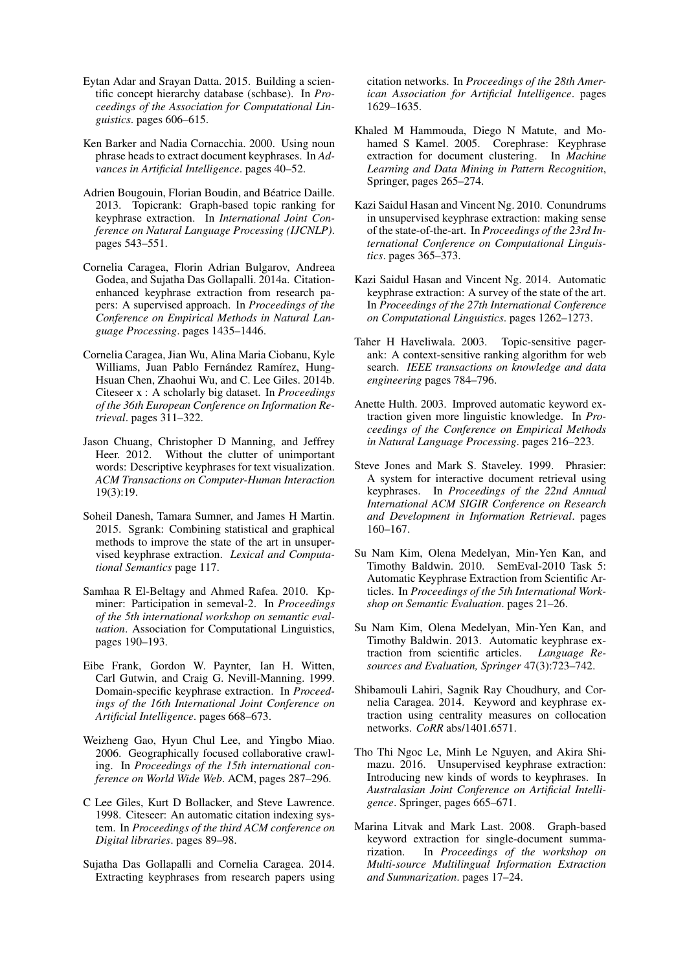- <span id="page-9-19"></span>Eytan Adar and Srayan Datta. 2015. Building a scientific concept hierarchy database (schbase). In *Proceedings of the Association for Computational Linguistics*. pages 606–615.
- <span id="page-9-11"></span>Ken Barker and Nadia Cornacchia. 2000. Using noun phrase heads to extract document keyphrases. In *Advances in Artificial Intelligence*. pages 40–52.
- <span id="page-9-14"></span>Adrien Bougouin, Florian Boudin, and Béatrice Daille. 2013. Topicrank: Graph-based topic ranking for keyphrase extraction. In *International Joint Conference on Natural Language Processing (IJCNLP)*. pages 543–551.
- <span id="page-9-10"></span>Cornelia Caragea, Florin Adrian Bulgarov, Andreea Godea, and Sujatha Das Gollapalli. 2014a. Citationenhanced keyphrase extraction from research papers: A supervised approach. In *Proceedings of the Conference on Empirical Methods in Natural Language Processing*. pages 1435–1446.
- <span id="page-9-21"></span>Cornelia Caragea, Jian Wu, Alina Maria Ciobanu, Kyle Williams, Juan Pablo Fernández Ramírez, Hung-Hsuan Chen, Zhaohui Wu, and C. Lee Giles. 2014b. Citeseer x : A scholarly big dataset. In *Proceedings of the 36th European Conference on Information Retrieval*. pages 311–322.
- <span id="page-9-9"></span>Jason Chuang, Christopher D Manning, and Jeffrey Heer. 2012. Without the clutter of unimportant words: Descriptive keyphrases for text visualization. *ACM Transactions on Computer-Human Interaction* 19(3):19.
- <span id="page-9-17"></span>Soheil Danesh, Tamara Sumner, and James H Martin. 2015. Sgrank: Combining statistical and graphical methods to improve the state of the art in unsupervised keyphrase extraction. *Lexical and Computational Semantics* page 117.
- <span id="page-9-16"></span>Samhaa R El-Beltagy and Ahmed Rafea. 2010. Kpminer: Participation in semeval-2. In *Proceedings of the 5th international workshop on semantic evaluation*. Association for Computational Linguistics, pages 190–193.
- <span id="page-9-4"></span>Eibe Frank, Gordon W. Paynter, Ian H. Witten, Carl Gutwin, and Craig G. Nevill-Manning. 1999. Domain-specific keyphrase extraction. In *Proceedings of the 16th International Joint Conference on Artificial Intelligence*. pages 668–673.
- <span id="page-9-22"></span>Weizheng Gao, Hyun Chul Lee, and Yingbo Miao. 2006. Geographically focused collaborative crawling. In *Proceedings of the 15th international conference on World Wide Web*. ACM, pages 287–296.
- <span id="page-9-20"></span>C Lee Giles, Kurt D Bollacker, and Steve Lawrence. 1998. Citeseer: An automatic citation indexing system. In *Proceedings of the third ACM conference on Digital libraries*. pages 89–98.
- <span id="page-9-12"></span>Sujatha Das Gollapalli and Cornelia Caragea. 2014. Extracting keyphrases from research papers using

citation networks. In *Proceedings of the 28th American Association for Artificial Intelligence*. pages 1629–1635.

- <span id="page-9-1"></span>Khaled M Hammouda, Diego N Matute, and Mohamed S Kamel. 2005. Corephrase: Keyphrase extraction for document clustering. In *Machine Learning and Data Mining in Pattern Recognition*, Springer, pages 265–274.
- <span id="page-9-3"></span>Kazi Saidul Hasan and Vincent Ng. 2010. Conundrums in unsupervised keyphrase extraction: making sense of the state-of-the-art. In *Proceedings of the 23rd International Conference on Computational Linguistics*. pages 365–373.
- <span id="page-9-2"></span>Kazi Saidul Hasan and Vincent Ng. 2014. Automatic keyphrase extraction: A survey of the state of the art. In *Proceedings of the 27th International Conference on Computational Linguistics*. pages 1262–1273.
- <span id="page-9-15"></span>Taher H Haveliwala. 2003. Topic-sensitive pagerank: A context-sensitive ranking algorithm for web search. *IEEE transactions on knowledge and data engineering* pages 784–796.
- <span id="page-9-5"></span>Anette Hulth. 2003. Improved automatic keyword extraction given more linguistic knowledge. In *Proceedings of the Conference on Empirical Methods in Natural Language Processing*. pages 216–223.
- <span id="page-9-0"></span>Steve Jones and Mark S. Staveley. 1999. Phrasier: A system for interactive document retrieval using keyphrases. In *Proceedings of the 22nd Annual International ACM SIGIR Conference on Research and Development in Information Retrieval*. pages 160–167.
- <span id="page-9-8"></span>Su Nam Kim, Olena Medelyan, Min-Yen Kan, and Timothy Baldwin. 2010. SemEval-2010 Task 5: Automatic Keyphrase Extraction from Scientific Articles. In *Proceedings of the 5th International Workshop on Semantic Evaluation*. pages 21–26.
- <span id="page-9-6"></span>Su Nam Kim, Olena Medelyan, Min-Yen Kan, and Timothy Baldwin. 2013. Automatic keyphrase extraction from scientific articles. *Language Resources and Evaluation, Springer* 47(3):723–742.
- <span id="page-9-13"></span>Shibamouli Lahiri, Sagnik Ray Choudhury, and Cornelia Caragea. 2014. Keyword and keyphrase extraction using centrality measures on collocation networks. *CoRR* abs/1401.6571.
- <span id="page-9-18"></span>Tho Thi Ngoc Le, Minh Le Nguyen, and Akira Shimazu. 2016. Unsupervised keyphrase extraction: Introducing new kinds of words to keyphrases. In *Australasian Joint Conference on Artificial Intelligence*. Springer, pages 665–671.
- <span id="page-9-7"></span>Marina Litvak and Mark Last. 2008. Graph-based keyword extraction for single-document summarization. In *Proceedings of the workshop on Multi-source Multilingual Information Extraction and Summarization*. pages 17–24.